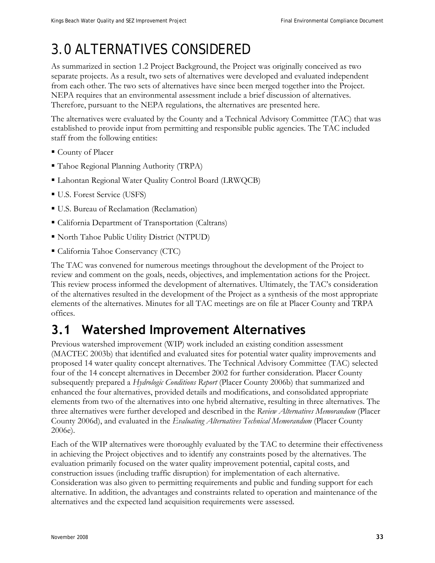# 3.0 ALTERNATIVES CONSIDERED

As summarized in section 1.2 Project Background, the Project was originally conceived as two separate projects. As a result, two sets of alternatives were developed and evaluated independent from each other. The two sets of alternatives have since been merged together into the Project. NEPA requires that an environmental assessment include a brief discussion of alternatives. Therefore, pursuant to the NEPA regulations, the alternatives are presented here.

The alternatives were evaluated by the County and a Technical Advisory Committee (TAC) that was established to provide input from permitting and responsible public agencies. The TAC included staff from the following entities:

- County of Placer
- Tahoe Regional Planning Authority (TRPA)
- Lahontan Regional Water Ouality Control Board (LRWOCB)
- U.S. Forest Service (USFS)
- U.S. Bureau of Reclamation (Reclamation)
- California Department of Transportation (Caltrans)
- North Tahoe Public Utility District (NTPUD)
- California Tahoe Conservancy (CTC)

The TAC was convened for numerous meetings throughout the development of the Project to review and comment on the goals, needs, objectives, and implementation actions for the Project. This review process informed the development of alternatives. Ultimately, the TAC's consideration of the alternatives resulted in the development of the Project as a synthesis of the most appropriate elements of the alternatives. Minutes for all TAC meetings are on file at Placer County and TRPA offices.

## **3.1 Watershed Improvement Alternatives**

Previous watershed improvement (WIP) work included an existing condition assessment (MACTEC 2003b) that identified and evaluated sites for potential water quality improvements and proposed 14 water quality concept alternatives. The Technical Advisory Committee (TAC) selected four of the 14 concept alternatives in December 2002 for further consideration. Placer County subsequently prepared a *Hydrologic Conditions Report* (Placer County 2006b) that summarized and enhanced the four alternatives, provided details and modifications, and consolidated appropriate elements from two of the alternatives into one hybrid alternative, resulting in three alternatives. The three alternatives were further developed and described in the *Review Alternatives Memorandum* (Placer County 2006d), and evaluated in the *Evaluating Alternatives Technical Memorandum* (Placer County 2006e).

Each of the WIP alternatives were thoroughly evaluated by the TAC to determine their effectiveness in achieving the Project objectives and to identify any constraints posed by the alternatives. The evaluation primarily focused on the water quality improvement potential, capital costs, and construction issues (including traffic disruption) for implementation of each alternative. Consideration was also given to permitting requirements and public and funding support for each alternative. In addition, the advantages and constraints related to operation and maintenance of the alternatives and the expected land acquisition requirements were assessed.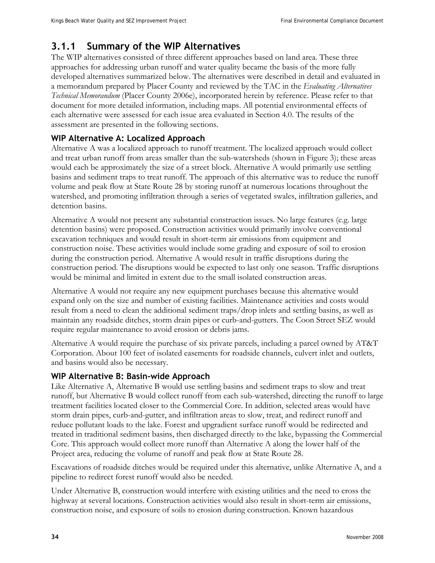### **3.1.1 Summary of the WIP Alternatives**

The WIP alternatives consisted of three different approaches based on land area. These three approaches for addressing urban runoff and water quality became the basis of the more fully developed alternatives summarized below. The alternatives were described in detail and evaluated in a memorandum prepared by Placer County and reviewed by the TAC in the *Evaluating Alternatives Technical Memorandum* (Placer County 2006e), incorporated herein by reference. Please refer to that document for more detailed information, including maps. All potential environmental effects of each alternative were assessed for each issue area evaluated in Section 4.0. The results of the assessment are presented in the following sections.

### **WIP Alternative A: Localized Approach**

Alternative A was a localized approach to runoff treatment. The localized approach would collect and treat urban runoff from areas smaller than the sub-watersheds (shown in Figure 3); these areas would each be approximately the size of a street block. Alternative A would primarily use settling basins and sediment traps to treat runoff. The approach of this alternative was to reduce the runoff volume and peak flow at State Route 28 by storing runoff at numerous locations throughout the watershed, and promoting infiltration through a series of vegetated swales, infiltration galleries, and detention basins.

Alternative A would not present any substantial construction issues. No large features (e.g. large detention basins) were proposed. Construction activities would primarily involve conventional excavation techniques and would result in short-term air emissions from equipment and construction noise. These activities would include some grading and exposure of soil to erosion during the construction period. Alternative A would result in traffic disruptions during the construction period. The disruptions would be expected to last only one season. Traffic disruptions would be minimal and limited in extent due to the small isolated construction areas.

Alternative A would not require any new equipment purchases because this alternative would expand only on the size and number of existing facilities. Maintenance activities and costs would result from a need to clean the additional sediment traps/drop inlets and settling basins, as well as maintain any roadside ditches, storm drain pipes or curb-and-gutters. The Coon Street SEZ would require regular maintenance to avoid erosion or debris jams.

Alternative A would require the purchase of six private parcels, including a parcel owned by AT&T Corporation. About 100 feet of isolated easements for roadside channels, culvert inlet and outlets, and basins would also be necessary.

#### **WIP Alternative B: Basin-wide Approach**

Like Alternative A, Alternative B would use settling basins and sediment traps to slow and treat runoff, but Alternative B would collect runoff from each sub-watershed, directing the runoff to large treatment facilities located closer to the Commercial Core. In addition, selected areas would have storm drain pipes, curb-and-gutter, and infiltration areas to slow, treat, and redirect runoff and reduce pollutant loads to the lake. Forest and upgradient surface runoff would be redirected and treated in traditional sediment basins, then discharged directly to the lake, bypassing the Commercial Core. This approach would collect more runoff than Alternative A along the lower half of the Project area, reducing the volume of runoff and peak flow at State Route 28.

Excavations of roadside ditches would be required under this alternative, unlike Alternative A, and a pipeline to redirect forest runoff would also be needed.

Under Alternative B, construction would interfere with existing utilities and the need to cross the highway at several locations. Construction activities would also result in short-term air emissions, construction noise, and exposure of soils to erosion during construction. Known hazardous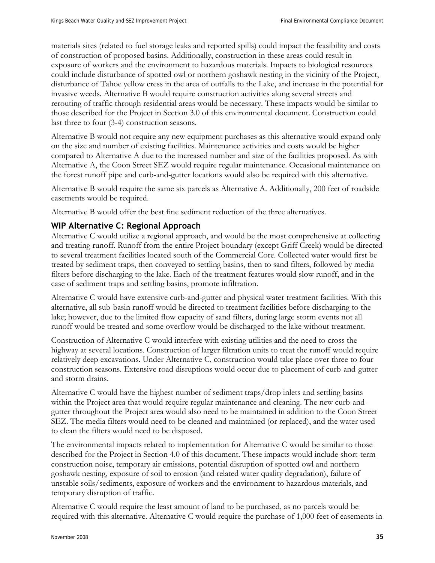materials sites (related to fuel storage leaks and reported spills) could impact the feasibility and costs of construction of proposed basins. Additionally, construction in these areas could result in exposure of workers and the environment to hazardous materials. Impacts to biological resources could include disturbance of spotted owl or northern goshawk nesting in the vicinity of the Project, disturbance of Tahoe yellow cress in the area of outfalls to the Lake, and increase in the potential for invasive weeds. Alternative B would require construction activities along several streets and rerouting of traffic through residential areas would be necessary. These impacts would be similar to those described for the Project in Section 3.0 of this environmental document. Construction could last three to four (3-4) construction seasons.

Alternative B would not require any new equipment purchases as this alternative would expand only on the size and number of existing facilities. Maintenance activities and costs would be higher compared to Alternative A due to the increased number and size of the facilities proposed. As with Alternative A, the Coon Street SEZ would require regular maintenance. Occasional maintenance on the forest runoff pipe and curb-and-gutter locations would also be required with this alternative.

Alternative B would require the same six parcels as Alternative A. Additionally, 200 feet of roadside easements would be required.

Alternative B would offer the best fine sediment reduction of the three alternatives.

### **WIP Alternative C: Regional Approach**

Alternative C would utilize a regional approach, and would be the most comprehensive at collecting and treating runoff. Runoff from the entire Project boundary (except Griff Creek) would be directed to several treatment facilities located south of the Commercial Core. Collected water would first be treated by sediment traps, then conveyed to settling basins, then to sand filters, followed by media filters before discharging to the lake. Each of the treatment features would slow runoff, and in the case of sediment traps and settling basins, promote infiltration.

Alternative C would have extensive curb-and-gutter and physical water treatment facilities. With this alternative, all sub-basin runoff would be directed to treatment facilities before discharging to the lake; however, due to the limited flow capacity of sand filters, during large storm events not all runoff would be treated and some overflow would be discharged to the lake without treatment.

Construction of Alternative C would interfere with existing utilities and the need to cross the highway at several locations. Construction of larger filtration units to treat the runoff would require relatively deep excavations. Under Alternative C, construction would take place over three to four construction seasons. Extensive road disruptions would occur due to placement of curb-and-gutter and storm drains.

Alternative C would have the highest number of sediment traps/drop inlets and settling basins within the Project area that would require regular maintenance and cleaning. The new curb-andgutter throughout the Project area would also need to be maintained in addition to the Coon Street SEZ. The media filters would need to be cleaned and maintained (or replaced), and the water used to clean the filters would need to be disposed.

The environmental impacts related to implementation for Alternative C would be similar to those described for the Project in Section 4.0 of this document. These impacts would include short-term construction noise, temporary air emissions, potential disruption of spotted owl and northern goshawk nesting, exposure of soil to erosion (and related water quality degradation), failure of unstable soils/sediments, exposure of workers and the environment to hazardous materials, and temporary disruption of traffic.

Alternative C would require the least amount of land to be purchased, as no parcels would be required with this alternative. Alternative C would require the purchase of 1,000 feet of easements in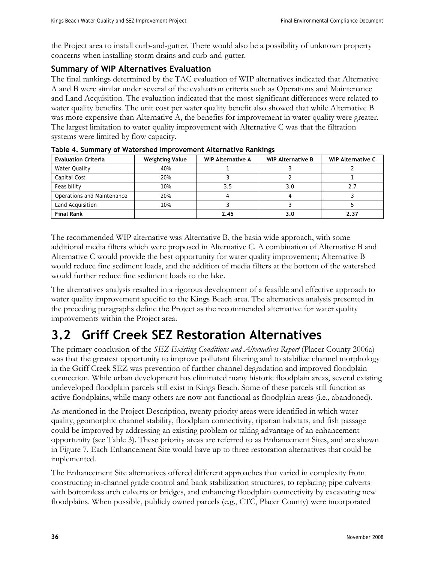the Project area to install curb-and-gutter. There would also be a possibility of unknown property concerns when installing storm drains and curb-and-gutter.

### **Summary of WIP Alternatives Evaluation**

The final rankings determined by the TAC evaluation of WIP alternatives indicated that Alternative A and B were similar under several of the evaluation criteria such as Operations and Maintenance and Land Acquisition. The evaluation indicated that the most significant differences were related to water quality benefits. The unit cost per water quality benefit also showed that while Alternative B was more expensive than Alternative A, the benefits for improvement in water quality were greater. The largest limitation to water quality improvement with Alternative C was that the filtration systems were limited by flow capacity.

| <b>Evaluation Criteria</b> | <b>Weighting Value</b> | <b>WIP Alternative A</b> | <b>WIP Alternative B</b> | <b>WIP Alternative C</b> |
|----------------------------|------------------------|--------------------------|--------------------------|--------------------------|
| Water Quality              | 40%                    |                          |                          |                          |
| Capital Cost               | 20%                    |                          |                          |                          |
| Feasibility                | 10%                    | 3.5                      | 3.0                      |                          |
| Operations and Maintenance | 20%                    |                          |                          |                          |
| Land Acquisition           | 10%                    |                          |                          |                          |
| <b>Final Rank</b>          |                        | 2.45                     | 3.0                      | 2.37                     |

**Table 4. Summary of Watershed Improvement Alternative Rankings** 

The recommended WIP alternative was Alternative B, the basin wide approach, with some additional media filters which were proposed in Alternative C. A combination of Alternative B and Alternative C would provide the best opportunity for water quality improvement; Alternative B would reduce fine sediment loads, and the addition of media filters at the bottom of the watershed would further reduce fine sediment loads to the lake.

The alternatives analysis resulted in a rigorous development of a feasible and effective approach to water quality improvement specific to the Kings Beach area. The alternatives analysis presented in the preceding paragraphs define the Project as the recommended alternative for water quality improvements within the Project area.

# **3.2 Griff Creek SEZ Restoration Alternatives**

The primary conclusion of the *SEZ Existing Conditions and Alternatives Report* (Placer County 2006a) was that the greatest opportunity to improve pollutant filtering and to stabilize channel morphology in the Griff Creek SEZ was prevention of further channel degradation and improved floodplain connection. While urban development has eliminated many historic floodplain areas, several existing undeveloped floodplain parcels still exist in Kings Beach. Some of these parcels still function as active floodplains, while many others are now not functional as floodplain areas (i.e., abandoned).

As mentioned in the Project Description, twenty priority areas were identified in which water quality, geomorphic channel stability, floodplain connectivity, riparian habitats, and fish passage could be improved by addressing an existing problem or taking advantage of an enhancement opportunity (see Table 3). These priority areas are referred to as Enhancement Sites, and are shown in Figure 7. Each Enhancement Site would have up to three restoration alternatives that could be implemented.

The Enhancement Site alternatives offered different approaches that varied in complexity from constructing in-channel grade control and bank stabilization structures, to replacing pipe culverts with bottomless arch culverts or bridges, and enhancing floodplain connectivity by excavating new floodplains. When possible, publicly owned parcels (e.g., CTC, Placer County) were incorporated